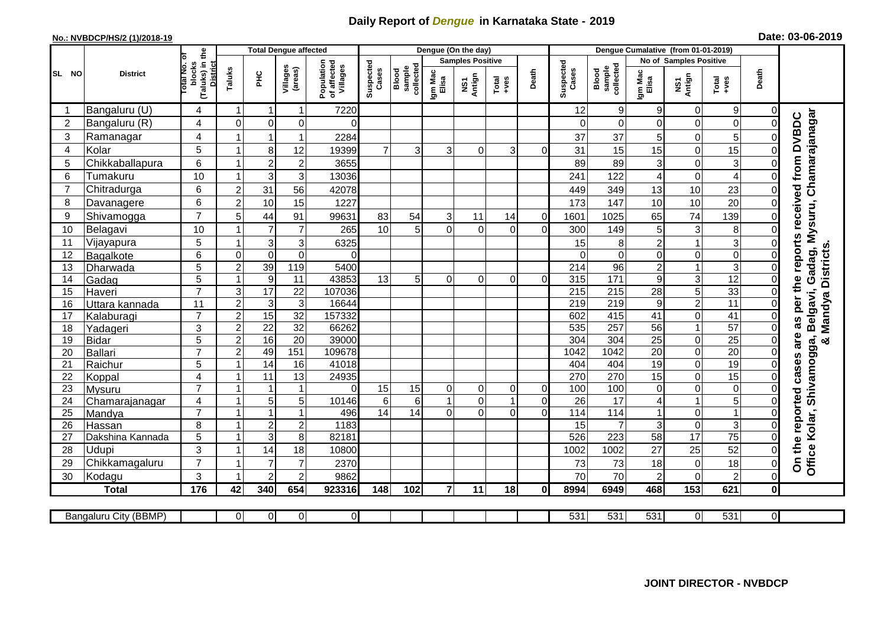## **Daily Report of** *Dengue* **in Karnataka State - 2019**

## **No.: NVBDCP/HS/2 (1)/2018-19**

|  | Date: 03-06-2019 |  |  |
|--|------------------|--|--|
|--|------------------|--|--|

|                |                       |                                                   |                         | <b>Total Dengue affected</b> |                     |                                       |                    |                              |                  | Dengue (On the day)     |                |                |                    |                              | Dengue Cumalative (from 01-01-2019) |                     |                         |                |                                                       |
|----------------|-----------------------|---------------------------------------------------|-------------------------|------------------------------|---------------------|---------------------------------------|--------------------|------------------------------|------------------|-------------------------|----------------|----------------|--------------------|------------------------------|-------------------------------------|---------------------|-------------------------|----------------|-------------------------------------------------------|
|                |                       | ō                                                 |                         |                              |                     |                                       |                    |                              |                  | <b>Samples Positive</b> |                |                |                    |                              | <b>No of Samples Positive</b>       |                     |                         |                |                                                       |
| SL NO          | <b>District</b>       | (Taluks) in the<br>District<br>otal No.<br>blocks | Taluks                  | ΞÉ                           | Villages<br>(areas) | Population<br>of affected<br>Villages | Suspected<br>Cases | sample<br>collected<br>Blood | Igm Mac<br>Elisa | NS1<br>Antign           | Total<br>+ves  | Death          | Suspected<br>Cases | collected<br>sample<br>Blood | Igm Mac<br>Elisa                    | NS1<br>Antign       | Total<br>+ves           | Death          |                                                       |
| -1             | Bangaluru (U)         | 4                                                 | $\mathbf{1}$            | -1                           | 1                   | 7220                                  |                    |                              |                  |                         |                |                | 12                 | $\boldsymbol{9}$             | 9                                   | $\mathbf 0$         | 9                       | 0              |                                                       |
| $\overline{2}$ | Bangaluru (R)         | 4                                                 | $\Omega$                | $\mathbf 0$                  | 0                   | 0                                     |                    |                              |                  |                         |                |                | 0                  | $\Omega$                     | 0                                   | $\mathbf 0$         | $\boldsymbol{0}$        |                |                                                       |
| 3              | Ramanagar             | 4                                                 |                         | $\overline{\mathbf{1}}$      | 1                   | 2284                                  |                    |                              |                  |                         |                |                | 37                 | 37                           | 5                                   | $\overline{0}$      | 5                       |                | Chamarajanagar                                        |
| 4              | Kolar                 | 5                                                 |                         | 8                            | 12                  | 19399                                 | $\overline{7}$     | $\overline{3}$               | 3                | $\Omega$                | 3              | $\Omega$       | 31                 | 15                           | 15                                  | $\mathsf 0$         | 15                      | 0              |                                                       |
| 5              | Chikkaballapura       | 6                                                 |                         | $\overline{c}$               | $\overline{2}$      | 3655                                  |                    |                              |                  |                         |                |                | 89                 | 89                           | 3                                   | $\overline{0}$      | 3                       | $\Omega$       |                                                       |
| 6              | Tumakuru              | 10                                                | $\overline{1}$          | 3                            | 3                   | 13036                                 |                    |                              |                  |                         |                |                | 241                | 122                          | 4                                   | $\mathsf{O}\xspace$ | $\overline{\mathbf{4}}$ |                |                                                       |
| $\overline{7}$ | Chitradurga           | 6                                                 | $\overline{2}$          | 31                           | 56                  | 42078                                 |                    |                              |                  |                         |                |                | 449                | 349                          | 13                                  | 10                  | 23                      | 0              |                                                       |
| 8              | Davanagere            | 6                                                 | $\overline{2}$          | 10                           | 15                  | 1227                                  |                    |                              |                  |                         |                |                | 173                | 147                          | 10                                  | 10                  | 20                      | 0              |                                                       |
| 9              | Shivamogga            | $\overline{7}$                                    | 5                       | 44                           | 91                  | 99631                                 | 83                 | 54                           | 3                | 11                      | 14             | $\overline{0}$ | 1601               | 1025                         | 65                                  | 74                  | 139                     | 0              | per the reports received from DVBDC<br>Gadag, Mysuru, |
| 10             | Belagavi              | 10                                                |                         | $\overline{7}$               | $\overline{7}$      | 265                                   | 10                 | 5 <sup>1</sup>               | ΩI               | $\Omega$                | $\Omega$       | $\Omega$       | 300                | 149                          | 5                                   | $\mathbf{3}$        | 8                       | $\Omega$       |                                                       |
| 11             | Vijayapura            | 5                                                 |                         | 3                            | 3                   | 6325                                  |                    |                              |                  |                         |                |                | 15                 | 8                            | $\overline{c}$                      | 1                   | 3                       | $\Omega$       |                                                       |
| 12             | Bagalkote             | 6                                                 | $\mathbf 0$             | $\mathbf 0$                  | $\overline{0}$      | $\Omega$                              |                    |                              |                  |                         |                |                | $\Omega$           | $\mathbf 0$                  | 0                                   | $\Omega$            | $\pmb{0}$               |                | Mandya Districts                                      |
| 13             | Dharwada              | 5                                                 | $\overline{c}$          | 39                           | 119                 | 5400                                  |                    |                              |                  |                         |                |                | 214                | $\overline{96}$              | $\overline{c}$                      | $\mathbf{1}$        | $\overline{3}$          | 0              |                                                       |
| 14             | Gadag                 | $\overline{5}$                                    | $\mathbf{1}$            | $\boldsymbol{9}$             | $\overline{11}$     | 43853                                 | 13                 | 5 <sup>1</sup>               | $\Omega$         | $\Omega$                | $\Omega$       | $\Omega$       | 315                | $\overline{171}$             | 9                                   | ω                   | 12                      | 0              |                                                       |
| 15             | Haveri                | $\overline{7}$                                    | $\mathsf 3$             | $\overline{17}$              | $\overline{22}$     | 107036                                |                    |                              |                  |                         |                |                | 215                | 215                          | 28                                  | 5                   | 33                      | 0              |                                                       |
| 16             | Uttara kannada        | 11                                                | $\overline{2}$          | $\mathsf 3$                  | $\mathbf{3}$        | 16644                                 |                    |                              |                  |                         |                |                | $\overline{219}$   | 219                          | 9                                   | $\overline{2}$      | $\overline{11}$         | $\overline{0}$ | Belgavi,                                              |
| 17             | Kalaburagi            | $\overline{7}$                                    | $\overline{2}$          | 15                           | $\overline{32}$     | 157332                                |                    |                              |                  |                         |                |                | 602                | 415                          | 41                                  | $\overline{0}$      | 41                      | $\overline{0}$ | as                                                    |
| 18             | Yadageri              | 3                                                 | $\overline{c}$          | 22                           | 32                  | 66262                                 |                    |                              |                  |                         |                |                | 535                | 257                          | 56                                  | $\mathbf{1}$        | 57                      | 0              |                                                       |
| 19             | <b>Bidar</b>          | 5                                                 | $\overline{2}$          | 16                           | $\overline{20}$     | 39000                                 |                    |                              |                  |                         |                |                | 304                | 304                          | $\overline{25}$                     | 0                   | $\overline{25}$         | $\overline{0}$ | are<br>ga,<br>න්                                      |
| 20             | Ballari               | $\overline{7}$                                    | $\overline{2}$          | 49                           | 151                 | 109678                                |                    |                              |                  |                         |                |                | 1042               | 1042                         | $\overline{20}$                     | $\overline{0}$      | 20                      | 0              |                                                       |
| 21             | Raichur               | 5                                                 | $\overline{\mathbf{1}}$ | $\overline{14}$              | 16                  | 41018                                 |                    |                              |                  |                         |                |                | 404                | 404                          | $\overline{19}$                     | $\overline{0}$      | 19                      | $\Omega$       | cases<br><b>Shivamog</b>                              |
| 22             | Koppal                | $\overline{4}$                                    | -1                      | 11                           | 13                  | 24935                                 |                    |                              |                  |                         |                |                | 270                | 270                          | 15                                  | $\overline{0}$      | $\overline{15}$         | $\Omega$       |                                                       |
| 23             | Mysuru                | $\overline{7}$                                    | $\overline{1}$          | $\overline{1}$               | $\mathbf{1}$        | $\Omega$                              | 15                 | 15                           | $\Omega$         | $\mathbf 0$             | 0              | $\overline{0}$ | 100                | 100                          | 0                                   | 0                   | $\pmb{0}$               | $\overline{0}$ |                                                       |
| 24             | Chamarajanagar        | 4                                                 |                         | 5                            | $\overline{5}$      | 10146                                 | $6\phantom{1}$     | $\overline{6}$               |                  | $\overline{0}$          | $\overline{1}$ | $\Omega$       | $\overline{26}$    | $\overline{17}$              | 4                                   | $\mathbf{1}$        | $\overline{5}$          | 0              |                                                       |
| 25             | Mandya                | $\overline{7}$                                    | $\overline{1}$          | $\overline{1}$               | $\mathbf{1}$        | 496                                   | 14                 | 14                           | ΩI               | $\overline{0}$          | $\Omega$       | $\Omega$       | 114                | 114                          | $\mathbf{1}$                        | $\overline{0}$      | $\mathbf{1}$            | $\Omega$       |                                                       |
| 26             | Hassan                | 8                                                 | -1                      | $\boldsymbol{2}$             | $\overline{c}$      | 1183                                  |                    |                              |                  |                         |                |                | 15                 |                              | 3                                   | $\overline{0}$      | 3                       | $\Omega$       |                                                       |
| 27             | Dakshina Kannada      | 5                                                 | $\overline{1}$          | 3                            | 8                   | 82181                                 |                    |                              |                  |                         |                |                | 526                | 223                          | 58                                  | $\overline{17}$     | $\overline{75}$         | 0              |                                                       |
| 28             | Udupi                 | 3                                                 |                         | 14                           | 18                  | 10800                                 |                    |                              |                  |                         |                |                | 1002               | 1002                         | 27                                  | 25                  | 52                      | 0              |                                                       |
| 29             | Chikkamagaluru        | $\overline{7}$                                    |                         | $\overline{7}$               | $\overline{7}$      | 2370                                  |                    |                              |                  |                         |                |                | 73                 | 73                           | 18                                  | $\mathsf 0$         | 18                      | 0              | On the reported<br>Office Kolar,                      |
| 30             | Kodagu                | 3                                                 |                         | $\overline{2}$               | $\overline{2}$      | 9862                                  |                    |                              |                  |                         |                |                | 70                 | 70                           | $\overline{2}$                      | 0                   | $\overline{2}$          | $\Omega$       |                                                       |
|                | <b>Total</b>          | 176                                               | 42                      | 340                          | 654                 | 923316                                | 148                | 102                          | $\overline{7}$   | 11                      | 18             | 0              | 8994               | 6949                         | 468                                 | $\overline{153}$    | 621                     | 0              |                                                       |
|                |                       |                                                   |                         |                              |                     |                                       |                    |                              |                  |                         |                |                |                    |                              |                                     |                     |                         |                |                                                       |
|                | Bangaluru City (BBMP) |                                                   | $\Omega$                | $\overline{0}$               | 0                   | $\overline{0}$                        |                    |                              |                  |                         |                |                | 531                | 531                          | 531                                 | $\overline{0}$      | 531                     | 0I             |                                                       |